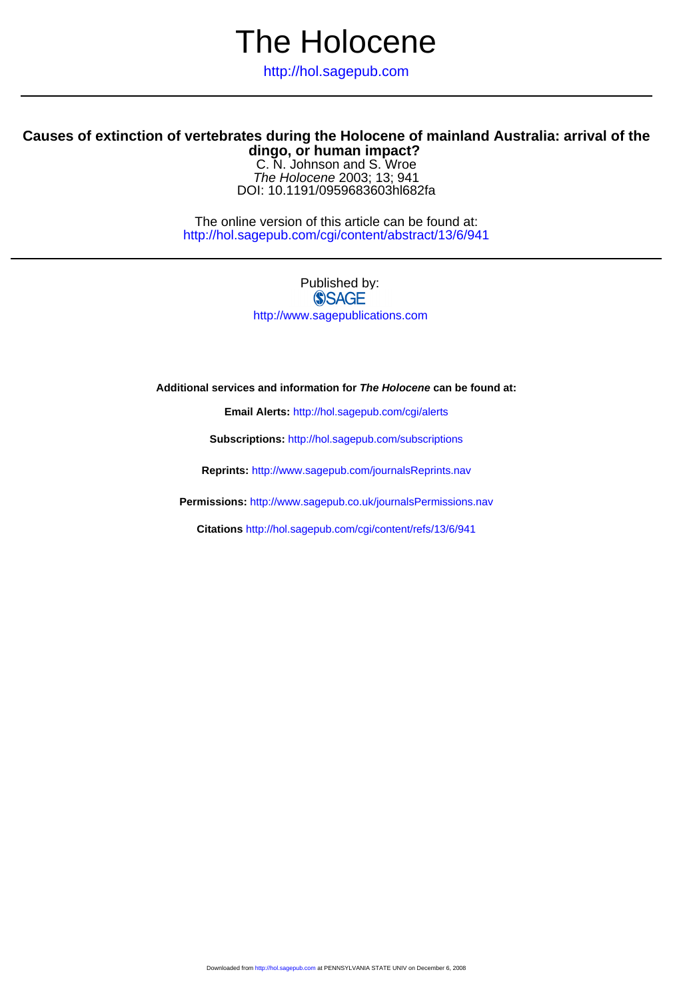# The Holocene

http://hol.sagepub.com

## **dingo, or human impact? Causes of extinction of vertebrates during the Holocene of mainland Australia: arrival of the**

DOI: 10.1191/0959683603hl682fa The Holocene 2003; 13; 941 C. N. Johnson and S. Wroe

http://hol.sagepub.com/cgi/content/abstract/13/6/941 The online version of this article can be found at:

## Published by:<br>
SAGE http://www.sagepublications.com

#### **Additional services and information for The Holocene can be found at:**

**Email Alerts:** <http://hol.sagepub.com/cgi/alerts>

**Subscriptions:** <http://hol.sagepub.com/subscriptions>

**Reprints:** <http://www.sagepub.com/journalsReprints.nav>

**Permissions:** <http://www.sagepub.co.uk/journalsPermissions.nav>

**Citations** <http://hol.sagepub.com/cgi/content/refs/13/6/941>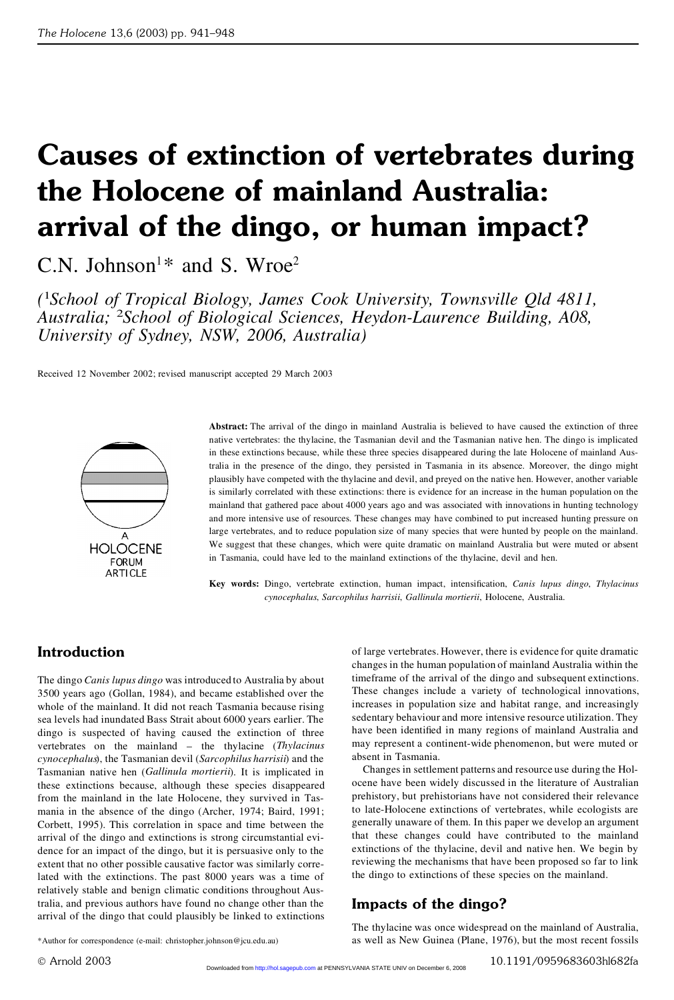## Causes of extinction of vertebrates during the Holocene of mainland Australia: arrival of the dingo, or human impact?

C.N. Johnson<sup>1\*</sup> and S. Wroe<sup>2</sup>

*(* <sup>1</sup>*School of Tropical Biology, James Cook University, Townsville Qld 4811, Australia;* <sup>2</sup>*School of Biological Sciences, Heydon-Laurence Building, A08, University of Sydney, NSW, 2006, Australia)*

Received 12 November 2002; revised manuscript accepted 29 March 2003



**Abstract:** The arrival of the dingo in mainland Australia is believed to have caused the extinction of three native vertebrates: the thylacine, the Tasmanian devil and the Tasmanian native hen. The dingo is implicated in these extinctions because, while these three species disappeared during the late Holocene of mainland Australia in the presence of the dingo, they persisted in Tasmania in its absence. Moreover, the dingo might plausibly have competed with the thylacine and devil, and preyed on the native hen. However, another variable is similarly correlated with these extinctions: there is evidence for an increase in the human population on the mainland that gathered pace about 4000 years ago and was associated with innovations in hunting technology and more intensive use of resources. These changes may have combined to put increased hunting pressure on large vertebrates, and to reduce population size of many species that were hunted by people on the mainland. We suggest that these changes, which were quite dramatic on mainland Australia but were muted or absent in Tasmania, could have led to the mainland extinctions of the thylacine, devil and hen.

Key words: Dingo, vertebrate extinction, human impact, intensification, *Canis lupus dingo*, *Thylacinus cynocephalus*, *Sarcophilus harrisii*, *Gallinula mortierii*, Holocene, Australia.

## Introduction

The dingo *Canis lupus dingo* was introduced to Australia by about 3500 years ago (Gollan, 1984), and became established over the whole of the mainland. It did not reach Tasmania because rising sea levels had inundated Bass Strait about 6000 years earlier. The dingo is suspected of having caused the extinction of three vertebrates on the mainland – the thylacine (*Thylacinus cynocephalus*), the Tasmanian devil (*Sarcophilus harrisii*) and the Tasmanian native hen (*Gallinula mortierii*). It is implicated in these extinctions because, although these species disappeared from the mainland in the late Holocene, they survived in Tasmania in the absence of the dingo (Archer, 1974; Baird, 1991; Corbett, 1995). This correlation in space and time between the arrival of the dingo and extinctions is strong circumstantial evidence for an impact of the dingo, but it is persuasive only to the extent that no other possible causative factor was similarly correlated with the extinctions. The past 8000 years was a time of relatively stable and benign climatic conditions throughout Australia, and previous authors have found no change other than the arrival of the dingo that could plausibly be linked to extinctions

of large vertebrates. However, there is evidence for quite dramatic changes in the human population of mainland Australia within the timeframe of the arrival of the dingo and subsequent extinctions. These changes include a variety of technological innovations, increases in population size and habitat range, and increasingly sedentary behaviour and more intensive resource utilization. They have been identified in many regions of mainland Australia and may represent a continent-wide phenomenon, but were muted or absent in Tasmania.

Changes in settlement patterns and resource use during the Hol ocene have been widely discussed in the literature of Australian prehistory, but prehistorians have not considered their relevance to late-Holocene extinctions of vertebrates, while ecologists are generally unaware of them. In this paper we develop an argument that these changes could have contributed to the mainland extinctions of the thylacine, devil and native hen. We begin by reviewing the mechanisms that have been proposed so far to link the dingo to extinctions of these species on the mainland.

## Impacts of the dingo?

The thylacine was once widespread on the mainland of Australia, as well as New Guinea (Plane, 1976), but the most recent fossils

\*Author for correspondence (e-mail: christopher.johnson@jcu.edu.au)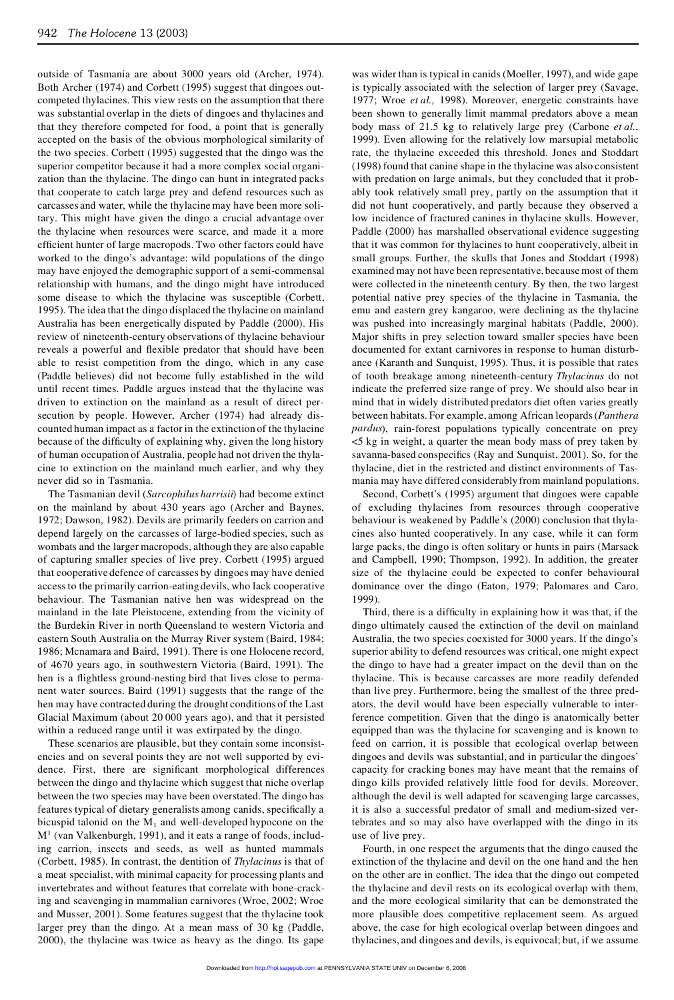outside of Tasmania are about 3000 years old (Archer, 1974). Both Archer (1974) and Corbett (1995) suggest that dingoes outcompeted thylacines. This view rests on the assumption that there was substantial overlap in the diets of dingoes and thylacines and that they therefore competed for food, a point that is generally accepted on the basis of the obvious morphological similarity of the two species. Corbett (1995) suggested that the dingo was the superior competitor because it had a more complex social organization than the thylacine. The dingo can hunt in integrated packs that cooperate to catch large prey and defend resources such as carcasses and water, while the thylacine may have been more solitary. This might have given the dingo a crucial advantage over the thylacine when resources were scarce, and made it a more efficient hunter of large macropods. Two other factors could have worked to the dingo's advantage: wild populations of the dingo may have enjoyed the demographic support of a semi-commensal relationship with humans, and the dingo might have introduced some disease to which the thylacine was susceptible (Corbett, 1995). The idea that the dingo displaced the thylacine on mainland Australia has been energetically disputed by Paddle (2000). His review of nineteenth-century observations of thylacine behaviour reveals a powerful and flexible predator that should have been able to resist competition from the dingo, which in any case (Paddle believes) did not become fully established in the wild until recent times. Paddle argues instead that the thylacine was driven to extinction on the mainland as a result of direct persecution by people. However, Archer (1974) had already discounted human impact as a factor in the extinction of the thylacine because of the difficulty of explaining why, given the long history of human occupation of Australia, people had not driven the thylacine to extinction on the mainland much earlier, and why they never did so in Tasmania.

The Tasmanian devil (*Sarcophilus harrisii*) had become extinct on the mainland by about 430 years ago (Archer and Baynes, 1972; Dawson, 1982). Devils are primarily feeders on carrion and depend largely on the carcasses of large-bodied species, such as wombats and the larger macropods, although they are also capable of capturing smaller species of live prey. Corbett (1995) argued that cooperative defence of carcasses by dingoes may have denied access to the primarily carrion-eatingdevils, who lack cooperative behaviour. The Tasmanian native hen was widespread on the mainland in the late Pleistocene, extending from the vicinity of the Burdekin River in north Queensland to western Victoria and eastern South Australia on the Murray River system (Baird, 1984; 1986; Mcnamara and Baird, 1991). There is one Holocene record, of 4670 years ago, in southwestern Victoria (Baird, 1991). The hen is a flightless ground-nesting bird that lives close to permanent water sources. Baird (1991) suggests that the range of the hen may have contracted during the drought conditions of the Last Glacial Maximum (about 20 000 years ago), and that it persisted within a reduced range until it was extirpated by the dingo.

These scenarios are plausible, but they contain some inconsistencies and on several points they are not well supported by evidence. First, there are significant morphological differences between the dingo and thylacine which suggest that niche overlap between the two species may have been overstated.The dingo has features typical of dietary generalists among canids, specifically a bicuspid talonid on the  $M_1$  and well-developed hypocone on the  $M<sup>1</sup>$  (van Valkenburgh, 1991), and it eats a range of foods, including carrion, insects and seeds, as well as hunted mammals (Corbett, 1985). In contrast, the dentition of *Thylacinus* is that of a meat specialist, with minimal capacity for processing plants and invertebrates and without features that correlate with bone-cracking and scavenging in mammalian carnivores (Wroe, 2002; Wroe and Musser, 2001). Some features suggest that the thylacine took larger prey than the dingo. At a mean mass of 30 kg (Paddle, 2000), the thylacine was twice as heavy as the dingo. Its gape

was wider than is typical in canids (Moeller, 1997), and wide gape is typically associated with the selection of larger prey (Savage, 1977; Wroe *et al.,* 1998). Moreover, energetic constraints have been shown to generally limit mammal predators above a mean body mass of 21.5 kg to relatively large prey (Carbone *et al*., 1999). Even allowing for the relatively low marsupial metabolic rate, the thylacine exceeded this threshold. Jones and Stoddart (1998) found that canine shape in the thylacine was also consistent with predation on large animals, but they concluded that it probably took relatively small prey, partly on the assumption that it did not hunt cooperatively, and partly because they observed a low incidence of fractured canines in thylacine skulls. However, Paddle (2000) has marshalled observational evidence suggesting that it was common for thylacines to hunt cooperatively, albeit in small groups. Further, the skulls that Jones and Stoddart (1998) examined may not have been representative,because most of them were collected in the nineteenth century. By then, the two largest potential native prey species of the thylacine in Tasmania, the emu and eastern grey kangaroo, were declining as the thylacine was pushed into increasingly marginal habitats (Paddle, 2000). Major shifts in prey selection toward smaller species have been documented for extant carnivores in response to human disturb ance (Karanth and Sunquist, 1995). Thus, it is possible that rates of tooth breakage among nineteenth-century *Thylacinus* do not indicate the preferred size range of prey. We should also bear in mind that in widely distributed predators diet often varies greatly between habitats. For example, among African leopards(*Panthera pardus*), rain-forest populations typically concentrate on prey <5 kg in weight, a quarter the mean body mass of prey taken by savanna-based conspecifics (Ray and Sunquist, 2001). So, for the thylacine, diet in the restricted and distinct environments of Tasmania may have differed considerably from mainland populations.

Second, Corbett's (1995) argument that dingoes were capable of excluding thylacines from resources through cooperative behaviour is weakened by Paddle's (2000) conclusion that thylacines also hunted cooperatively. In any case, while it can form large packs, the dingo is often solitary or hunts in pairs (Marsack and Campbell, 1990; Thompson, 1992). In addition, the greater size of the thylacine could be expected to confer behavioural dominance over the dingo (Eaton, 1979; Palomares and Caro, 1999).

Third, there is a difficulty in explaining how it was that, if the dingo ultimately caused the extinction of the devil on mainland Australia, the two species coexisted for 3000 years. If the dingo's superior ability to defend resources was critical, one might expect the dingo to have had a greater impact on the devil than on the thylacine. This is because carcasses are more readily defended than live prey. Furthermore, being the smallest of the three predators, the devil would have been especially vulnerable to interference competition. Given that the dingo is anatomically better equipped than was the thylacine for scavenging and is known to feed on carrion, it is possible that ecological overlap between dingoes and devils was substantial, and in particular the dingoes' capacity for cracking bones may have meant that the remains of dingo kills provided relatively little food for devils. Moreover, although the devil is well adapted for scavenging large carcasses, it is also a successful predator of small and medium-sized vertebrates and so may also have overlapped with the dingo in its use of live prey.

Fourth, in one respect the arguments that the dingo caused the extinction of the thylacine and devil on the one hand and the hen on the other are in conflict. The idea that the dingo out competed the thylacine and devil rests on its ecological overlap with them, and the more ecological similarity that can be demonstrated the more plausible does competitive replacement seem. As argued above, the case for high ecological overlap between dingoes and thylacines, and dingoes and devils, is equivocal; but, if we assume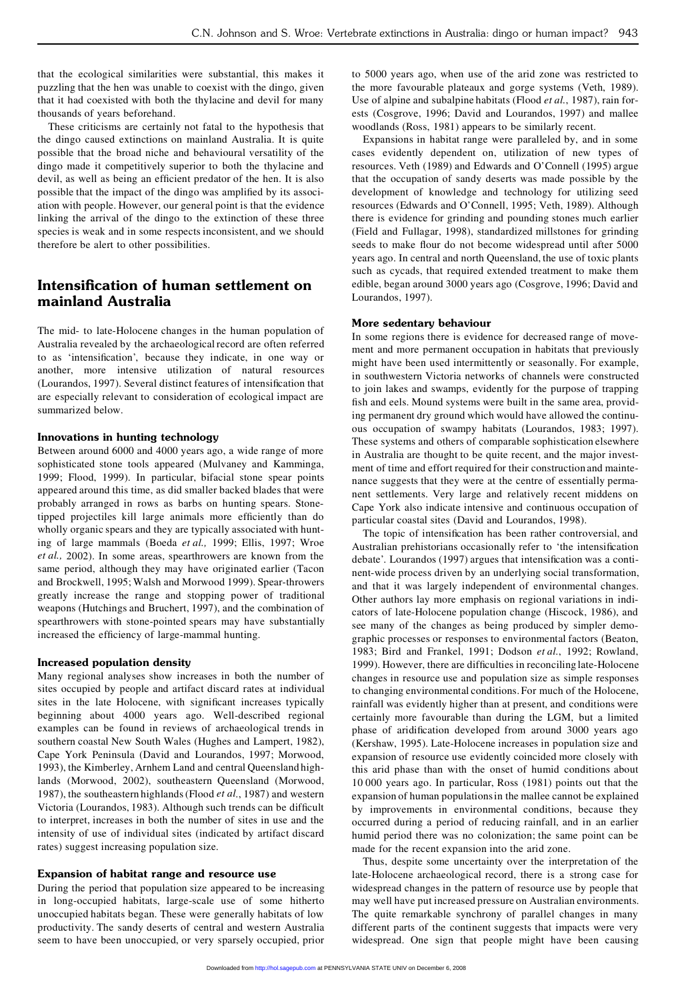that the ecological similarities were substantial, this makes it puzzling that the hen was unable to coexist with the dingo, given that it had coexisted with both the thylacine and devil for many thousands of years beforehand.

These criticisms are certainly not fatal to the hypothesis that the dingo caused extinctions on mainland Australia. It is quite possible that the broad niche and behavioural versatility of the dingo made it competitively superior to both the thylacine and devil, as well as being an efficient predator of the hen. It is also possible that the impact of the dingo was amplified by its association with people. However, our general point is that the evidence linking the arrival of the dingo to the extinction of these three species is weak and in some respects inconsistent, and we should therefore be alert to other possibilities.

## Intensification of human settlement on mainland Australia

The mid- to late-Holocene changes in the human population of Australia revealed by the archaeological record are often referred to as 'intensification', because they indicate, in one way or another, more intensive utilization of natural resources (Lourandos, 1997). Several distinct features of intensification that are especially relevant to consideration of ecological impact are summarized below.

#### Innovations in hunting technology

Between around 6000 and 4000 years ago, a wide range of more sophisticated stone tools appeared (Mulvaney and Kamminga, 1999; Flood, 1999). In particular, bifacial stone spear points appeared around this time, as did smaller backed blades that were probably arranged in rows as barbs on hunting spears. Stonetipped projectiles kill large animals more efficiently than do wholly organic spears and they are typically associated with hunting of large mammals (Boeda *et al.,* 1999; Ellis, 1997; Wroe *et al.,* 2002). In some areas, spearthrowers are known from the same period, although they may have originated earlier (Tacon and Brockwell, 1995; Walsh and Morwood 1999). Spear-throwers greatly increase the range and stopping power of traditional weapons (Hutchings and Bruchert, 1997), and the combination of spearthrowers with stone-pointed spears may have substantially increased the efficiency of large-mammal hunting.

#### Increased population density

Many regional analyses show increases in both the number of sites occupied by people and artifact discard rates at individual sites in the late Holocene, with significant increases typically beginning about 4000 years ago. Well-described regional examples can be found in reviews of archaeological trends in southern coastal New South Wales (Hughes and Lampert, 1982), Cape York Peninsula (David and Lourandos, 1997; Morwood, 1993), the Kimberley, Arnhem Land and central Queensland highlands (Morwood, 2002), southeastern Queensland (Morwood, 1987), the southeastern highlands(Flood *et al*., 1987) and western Victoria (Lourandos, 1983). Although such trends can be difficult to interpret, increases in both the number of sites in use and the intensity of use of individual sites (indicated by artifact discard rates) suggest increasing population size.

#### Expansion of habitat range and resource use

During the period that population size appeared to be increasing in long-occupied habitats, large-scale use of some hitherto unoccupied habitats began. These were generally habitats of low productivity. The sandy deserts of central and western Australia seem to have been unoccupied, or very sparsely occupied, prior to 5000 years ago, when use of the arid zone was restricted to the more favourable plateaux and gorge systems (Veth, 1989). Use of alpine and subalpine habitats (Flood *et al.*, 1987), rain forests (Cosgrove, 1996; David and Lourandos, 1997) and mallee woodlands (Ross, 1981) appears to be similarly recent.

Expansions in habitat range were paralleled by, and in some cases evidently dependent on, utilization of new types of resources. Veth (1989) and Edwards and O'Connell (1995) argue that the occupation of sandy deserts was made possible by the development of knowledge and technology for utilizing seed resources (Edwards and O'Connell, 1995; Veth, 1989). Although there is evidence for grinding and pounding stones much earlier (Field and Fullagar, 1998), standardized millstones for grinding seeds to make flour do not become widespread until after 5000 years ago. In central and north Queensland, the use of toxic plants such as cycads, that required extended treatment to make them edible, began around 3000 years ago (Cosgrove, 1996; David and Lourandos, 1997).

#### More sedentary behaviour

In some regions there is evidence for decreased range of move ment and more permanent occupation in habitats that previously might have been used intermittently or seasonally. For example, in southwestern Victoria networks of channels were constructed to join lakes and swamps, evidently for the purpose of trapping fish and eels. Mound systems were built in the same area, providing permanent dry ground which would have allowed the continu ous occupation of swampy habitats (Lourandos, 1983; 1997). These systems and others of comparable sophistication elsewhere in Australia are thought to be quite recent, and the major investment of time and effort required for their construction and mainte nance suggests that they were at the centre of essentially permanent settlements. Very large and relatively recent middens on Cape York also indicate intensive and continuous occupation of particular coastal sites (David and Lourandos, 1998).

The topic of intensification has been rather controversial, and Australian prehistorians occasionally refer to 'the intensification debate'. Lourandos (1997) argues that intensification was a continent-wide process driven by an underlying social transformation, and that it was largely independent of environmental changes. Other authors lay more emphasis on regional variations in indicators of late-Holocene population change (Hiscock, 1986), and see many of the changes as being produced by simpler demographic processes or responses to environmental factors (Beaton, 1983; Bird and Frankel, 1991; Dodson *et al*., 1992; Rowland, 1999). However, there are difficulties in reconciling late-Holocene changes in resource use and population size as simple responses to changing environmental conditions. For much of the Holocene, rainfall was evidently higher than at present, and conditions were certainly more favourable than during the LGM, but a limited phase of aridification developed from around 3000 years ago (Kershaw, 1995). Late-Holocene increases in population size and expansion of resource use evidently coincided more closely with this arid phase than with the onset of humid conditions about 10 000 years ago. In particular, Ross (1981) points out that the expansion of human populationsin the mallee cannot be explained by improvements in environmental conditions, because they occurred during a period of reducing rainfall, and in an earlier humid period there was no colonization; the same point can be made for the recent expansion into the arid zone.

Thus, despite some uncertainty over the interpretation of the late-Holocene archaeological record, there is a strong case for widespread changes in the pattern of resource use by people that may well have put increased pressure on Australian environments. The quite remarkable synchrony of parallel changes in many different parts of the continent suggests that impacts were very widespread. One sign that people might have been causing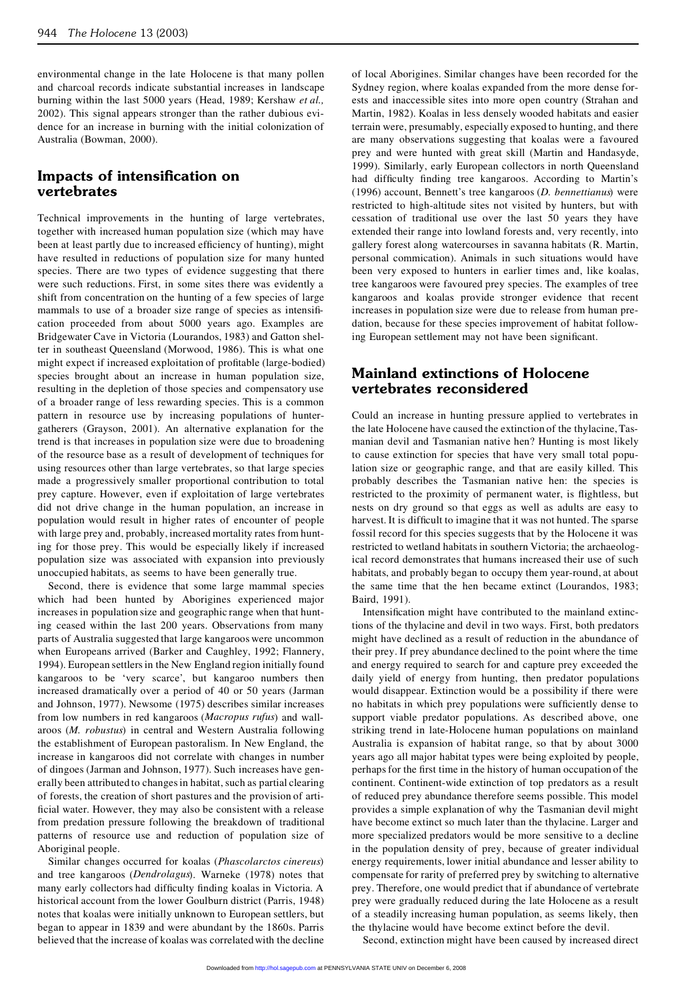environmental change in the late Holocene is that many pollen and charcoal records indicate substantial increases in landscape burning within the last 5000 years (Head, 1989; Kershaw *et al.,* 2002). This signal appears stronger than the rather dubious evidence for an increase in burning with the initial colonization of Australia (Bowman, 2000).

### Impacts of intensification on vertebrates

Technical improvements in the hunting of large vertebrates, together with increased human population size (which may have been at least partly due to increased efficiency of hunting), might have resulted in reductions of population size for many hunted species. There are two types of evidence suggesting that there were such reductions. First, in some sites there was evidently a shift from concentration on the hunting of a few species of large mammals to use of a broader size range of species as intensification proceeded from about 5000 years ago. Examples are Bridgewater Cave in Victoria (Lourandos, 1983) and Gatton shelter in southeast Queensland (Morwood, 1986). This is what one might expect if increased exploitation of profitable (large-bodied) species brought about an increase in human population size, resulting in the depletion of those species and compensatory use of a broader range of less rewarding species. This is a common pattern in resource use by increasing populations of huntergatherers (Grayson, 2001). An alternative explanation for the trend is that increases in population size were due to broadening of the resource base as a result of development of techniques for using resources other than large vertebrates, so that large species made a progressively smaller proportional contribution to total prey capture. However, even if exploitation of large vertebrates did not drive change in the human population, an increase in population would result in higher rates of encounter of people with large prey and, probably, increased mortality rates from hunting for those prey. This would be especially likely if increased population size was associated with expansion into previously unoccupied habitats, as seems to have been generally true.

Second, there is evidence that some large mammal species which had been hunted by Aborigines experienced major increases in population size and geographic range when that hunting ceased within the last 200 years. Observations from many parts of Australia suggested that large kangaroos were uncommon when Europeans arrived (Barker and Caughley, 1992; Flannery, 1994). European settlersin the New England region initially found kangaroos to be 'very scarce', but kangaroo numbers then increased dramatically over a period of 40 or 50 years (Jarman and Johnson, 1977). Newsome (1975) describes similar increases from low numbers in red kangaroos (*Macropus rufus*) and wall aroos (*M. robustus*) in central and Western Australia following the establishment of European pastoralism. In New England, the increase in kangaroos did not correlate with changes in number of dingoes (Jarman and Johnson, 1977). Such increases have generally been attributed to changes in habitat, such as partial clearing of forests, the creation of short pastures and the provision of arti ficial water. However, they may also be consistent with a release from predation pressure following the breakdown of traditional patterns of resource use and reduction of population size of Aboriginal people.

Similar changes occurred for koalas (*Phascolarctos cinereus*) and tree kangaroos (*Dendrolagus*). Warneke (1978) notes that many early collectors had difficulty finding koalas in Victoria. A historical account from the lower Goulburn district (Parris, 1948) notes that koalas were initially unknown to European settlers, but began to appear in 1839 and were abundant by the 1860s. Parris believed that the increase of koalas was correlatedwith the decline

of local Aborigines. Similar changes have been recorded for the Sydney region, where koalas expanded from the more dense forests and inaccessible sites into more open country (Strahan and Martin, 1982). Koalas in less densely wooded habitats and easier terrain were, presumably, especially exposed to hunting, and there are many observations suggesting that koalas were a favoured prey and were hunted with great skill (Martin and Handasyde, 1999). Similarly, early European collectors in north Queensland had difficulty finding tree kangaroos. According to Martin's (1996) account, Bennett's tree kangaroos (*D. bennettianus*) were restricted to high-altitude sites not visited by hunters, but with cessation of traditional use over the last 50 years they have extended their range into lowland forests and, very recently, into gallery forest along watercourses in savanna habitats (R. Martin, personal commication). Animals in such situations would have been very exposed to hunters in earlier times and, like koalas, tree kangaroos were favoured prey species. The examples of tree kangaroos and koalas provide stronger evidence that recent increases in population size were due to release from human predation, because for these species improvement of habitat following European settlement may not have been significant.

## Mainland extinctions of Holocene vertebrates reconsidered

Could an increase in hunting pressure applied to vertebrates in the late Holocene have caused the extinction of the thylacine,Tasmanian devil and Tasmanian native hen? Hunting is most likely to cause extinction for species that have very small total population size or geographic range, and that are easily killed. This probably describes the Tasmanian native hen: the species is restricted to the proximity of permanent water, is flightless, but nests on dry ground so that eggs as well as adults are easy to harvest. It is difficult to imagine that it was not hunted. The sparse fossil record for this species suggests that by the Holocene it was restricted to wetland habitats in southern Victoria; the archaeological record demonstrates that humans increased their use of such habitats, and probably began to occupy them year-round, at about the same time that the hen became extinct (Lourandos, 1983; Baird, 1991).

Intensification might have contributed to the mainland extinctions of the thylacine and devil in two ways. First, both predators might have declined as a result of reduction in the abundance of their prey. If prey abundance declined to the point where the time and energy required to search for and capture prey exceeded the daily yield of energy from hunting, then predator populations would disappear. Extinction would be a possibility if there were no habitats in which prey populations were sufficiently dense to support viable predator populations. As described above, one striking trend in late-Holocene human populations on mainland Australia is expansion of habitat range, so that by about 3000 years ago all major habitat types were being exploited by people, perhaps for the first time in the history of human occupation of the continent. Continent-wide extinction of top predators as a result of reduced prey abundance therefore seems possible. This model provides a simple explanation of why the Tasmanian devil might have become extinct so much later than the thylacine. Larger and more specialized predators would be more sensitive to a decline in the population density of prey, because of greater individual energy requirements, lower initial abundance and lesser ability to compensate for rarity of preferred prey by switching to alternative prey. Therefore, one would predict that if abundance of vertebrate prey were gradually reduced during the late Holocene as a result of a steadily increasing human population, as seems likely, then the thylacine would have become extinct before the devil.

Second, extinction might have been caused by increased direct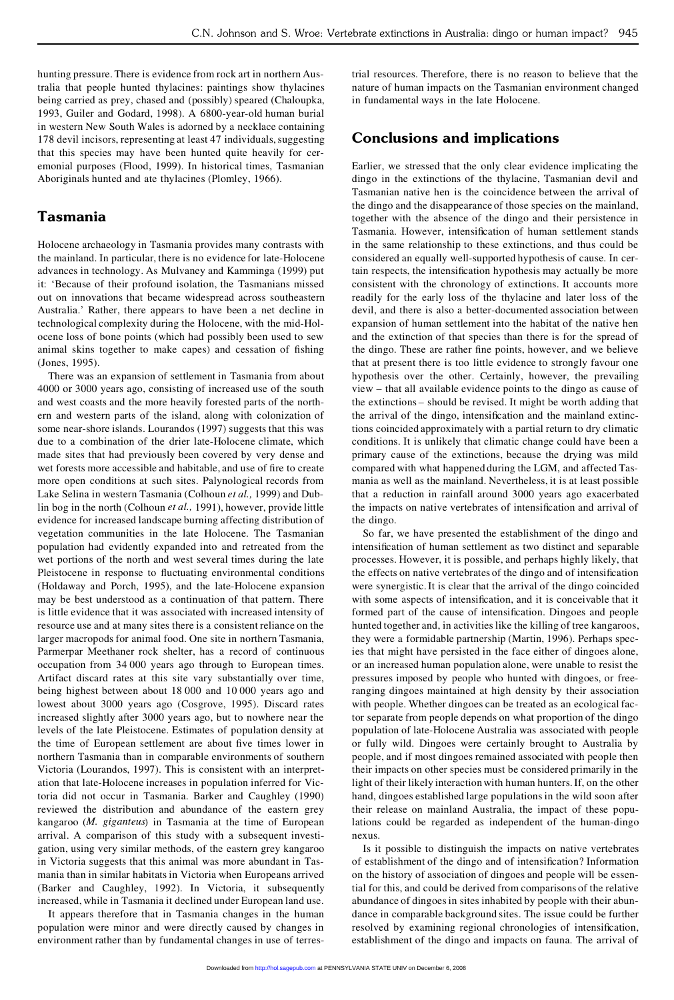hunting pressure. There is evidence from rock art in northern Australia that people hunted thylacines: paintings show thylacines being carried as prey, chased and (possibly) speared (Chaloupka, 1993, Guiler and Godard, 1998). A 6800-year-old human burial in western New South Wales is adorned by a necklace containing 178 devil incisors, representing at least 47 individuals, suggesting that this species may have been hunted quite heavily for cer emonial purposes (Flood, 1999). In historical times, Tasmanian Aboriginals hunted and ate thylacines (Plomley, 1966).

## Tasmania

Holocene archaeology in Tasmania provides many contrasts with the mainland. In particular, there is no evidence for late-Holocene advances in technology. As Mulvaney and Kamminga (1999) put it: 'Because of their profound isolation, the Tasmanians missed out on innovations that became widespread across southeastern Australia.' Rather, there appears to have been a net decline in technological complexity during the Holocene, with the mid-Hol ocene loss of bone points (which had possibly been used to sew animal skins together to make capes) and cessation of fishing (Jones, 1995).

There was an expansion of settlement in Tasmania from about 4000 or 3000 years ago, consisting of increased use of the south and west coasts and the more heavily forested parts of the north ern and western parts of the island, along with colonization of some near-shore islands. Lourandos (1997) suggests that this was due to a combination of the drier late-Holocene climate, which made sites that had previously been covered by very dense and wet forests more accessible and habitable, and use of fire to create more open conditions at such sites. Palynological records from Lake Selina in western Tasmania (Colhoun *et al.,* 1999) and Dublin bog in the north (Colhoun *et al.,* 1991), however, provide little evidence for increased landscape burning affecting distribution of vegetation communities in the late Holocene. The Tasmanian population had evidently expanded into and retreated from the wet portions of the north and west several times during the late Pleistocene in response to fluctuating environmental conditions (Holdaway and Porch, 1995), and the late-Holocene expansion may be best understood as a continuation of that pattern. There is little evidence that it was associated with increased intensity of resource use and at many sites there is a consistent reliance on the larger macropods for animal food. One site in northern Tasmania, Parmerpar Meethaner rock shelter, has a record of continuous occupation from 34 000 years ago through to European times. Artifact discard rates at this site vary substantially over time, being highest between about 18 000 and 10 000 years ago and lowest about 3000 years ago (Cosgrove, 1995). Discard rates increased slightly after 3000 years ago, but to nowhere near the levels of the late Pleistocene. Estimates of population density at the time of European settlement are about five times lower in northern Tasmania than in comparable environments of southern Victoria (Lourandos, 1997). This is consistent with an interpretation that late-Holocene increases in population inferred for Victoria did not occur in Tasmania. Barker and Caughley (1990) reviewed the distribution and abundance of the eastern grey kangaroo (*M. giganteus*) in Tasmania at the time of European arrival. A comparison of this study with a subsequent investigation, using very similar methods, of the eastern grey kangaroo in Victoria suggests that this animal was more abundant in Tasmania than in similar habitatsin Victoria when Europeans arrived (Barker and Caughley, 1992). In Victoria, it subsequently increased, while in Tasmania it declined under European land use.

It appears therefore that in Tasmania changes in the human population were minor and were directly caused by changes in environment rather than by fundamental changes in use of terrestrial resources. Therefore, there is no reason to believe that the nature of human impacts on the Tasmanian environment changed in fundamental ways in the late Holocene.

## Conclusions and implications

Earlier, we stressed that the only clear evidence implicating the dingo in the extinctions of the thylacine, Tasmanian devil and Tasmanian native hen is the coincidence between the arrival of the dingo and the disappearance of those species on the mainland, together with the absence of the dingo and their persistence in Tasmania. However, intensification of human settlement stands in the same relationship to these extinctions, and thus could be considered an equally well-supported hypothesis of cause. In certain respects, the intensification hypothesis may actually be more consistent with the chronology of extinctions. It accounts more readily for the early loss of the thylacine and later loss of the devil, and there is also a better-documented association between expansion of human settlement into the habitat of the native hen and the extinction of that species than there is for the spread of the dingo. These are rather fine points, however, and we believe that at present there is too little evidence to strongly favour one hypothesis over the other. Certainly, however, the prevailing view – that all available evidence points to the dingo as cause of the extinctions – should be revised. It might be worth adding that the arrival of the dingo, intensification and the mainland extinctions coincided approximately with a partial return to dry climatic conditions. It is unlikely that climatic change could have been a primary cause of the extinctions, because the drying was mild compared with what happened during the LGM, and affected Tasmania as well as the mainland. Nevertheless, it is at least possible that a reduction in rainfall around 3000 years ago exacerbated the impacts on native vertebrates of intensification and arrival of the dingo.

So far, we have presented the establishment of the dingo and intensification of human settlement as two distinct and separable processes. However, it is possible, and perhaps highly likely, that the effects on native vertebrates of the dingo and of intensification were synergistic.It is clear that the arrival of the dingo coincided with some aspects of intensification, and it is conceivable that it formed part of the cause of intensification. Dingoes and people hunted together and, in activities like the killing of tree kangaroos, they were a formidable partnership (Martin, 1996). Perhaps species that might have persisted in the face either of dingoes alone, or an increased human population alone, were unable to resist the pressures imposed by people who hunted with dingoes, or freeranging dingoes maintained at high density by their association with people. Whether dingoes can be treated as an ecological factor separate from people depends on what proportion of the dingo population of late-Holocene Australia was associated with people or fully wild. Dingoes were certainly brought to Australia by people, and if most dingoes remained associated with people then their impacts on other species must be considered primarily in the light of their likely interaction with human hunters.If, on the other hand, dingoes established large populations in the wild soon after their release on mainland Australia, the impact of these populations could be regarded as independent of the human-dingo nexus.

Is it possible to distinguish the impacts on native vertebrates of establishment of the dingo and of intensification? Information on the history of association of dingoes and people will be essential for this, and could be derived from comparisons of the relative abundance of dingoes in sites inhabited by people with their abundance in comparable background sites. The issue could be further resolved by examining regional chronologies of intensification, establishment of the dingo and impacts on fauna. The arrival of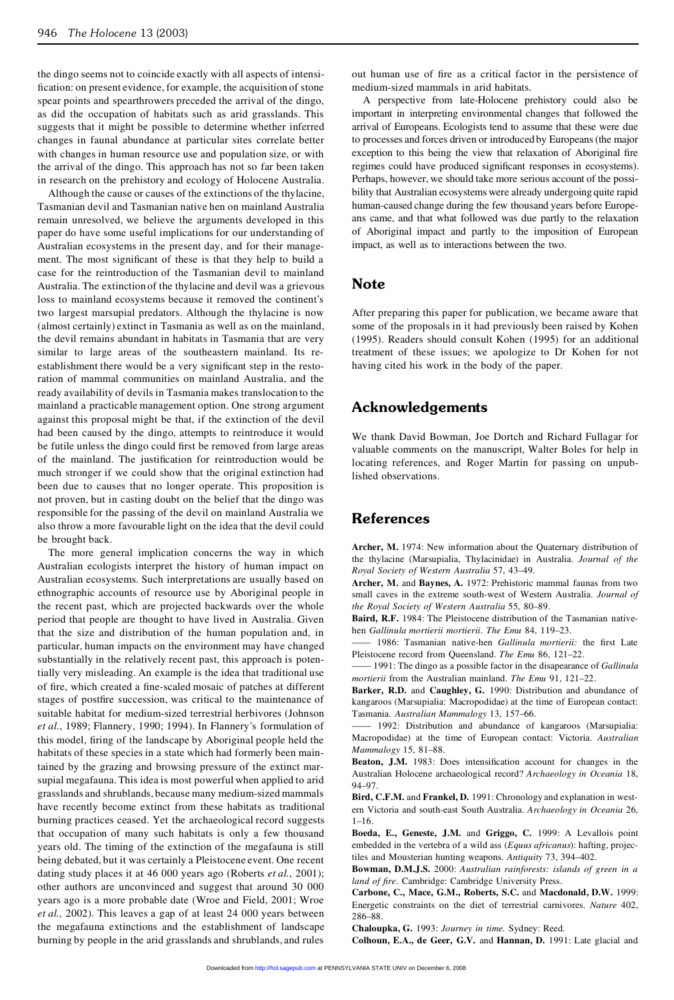the dingo seems not to coincide exactly with all aspects of intensi fication: on present evidence, for example, the acquisition of stone spear points and spearthrowers preceded the arrival of the dingo, as did the occupation of habitats such as arid grasslands. This suggests that it might be possible to determine whether inferred changes in faunal abundance at particular sites correlate better with changes in human resource use and population size, or with the arrival of the dingo. This approach has not so far been taken in research on the prehistory and ecology of Holocene Australia.

Although the cause or causes of the extinctions of the thylacine, Tasmanian devil and Tasmanian native hen on mainland Australia remain unresolved, we believe the arguments developed in this paper do have some useful implications for our understanding of Australian ecosystems in the present day, and for their management. The most significant of these is that they help to build a case for the reintroduction of the Tasmanian devil to mainland Australia. The extinction of the thylacine and devil was a grievous loss to mainland ecosystems because it removed the continent's two largest marsupial predators. Although the thylacine is now (almost certainly) extinct in Tasmania as well as on the mainland, the devil remains abundant in habitats in Tasmania that are very similar to large areas of the southeastern mainland. Its re establishment there would be a very significant step in the restoration of mammal communities on mainland Australia, and the ready availability of devils in Tasmania makes translocation to the mainland a practicable management option. One strong argument against this proposal might be that, if the extinction of the devil had been caused by the dingo, attempts to reintroduce it would be futile unless the dingo could first be removed from large areas of the mainland. The justification for reintroduction would be much stronger if we could show that the original extinction had been due to causes that no longer operate. This proposition is not proven, but in casting doubt on the belief that the dingo was responsible for the passing of the devil on mainland Australia we also throw a more favourable light on the idea that the devil could be brought back.

The more general implication concerns the way in which Australian ecologists interpret the history of human impact on Australian ecosystems. Such interpretations are usually based on ethnographic accounts of resource use by Aboriginal people in the recent past, which are projected backwards over the whole period that people are thought to have lived in Australia. Given that the size and distribution of the human population and, in particular, human impacts on the environment may have changed substantially in the relatively recent past, this approach is potentially very misleading. An example is the idea that traditional use of fire, which created a fine-scaled mosaic of patches at different stages of postfire succession, was critical to the maintenance of suitable habitat for medium-sized terrestrial herbivores (Johnson *et al*., 1989; Flannery, 1990; 1994). In Flannery's formulation of this model, firing of the landscape by Aboriginal people held the habitats of these species in a state which had formerly been maintained by the grazing and browsing pressure of the extinct marsupial megafauna.This idea is most powerful when applied to arid grasslands and shrublands, because many medium-sized mammals have recently become extinct from these habitats as traditional burning practices ceased. Yet the archaeological record suggests that occupation of many such habitats is only a few thousand years old. The timing of the extinction of the megafauna is still being debated, but it was certainly a Pleistocene event. One recent dating study places it at 46 000 years ago (Roberts *et al.*, 2001); other authors are unconvinced and suggest that around 30 000 years ago is a more probable date (Wroe and Field, 2001; Wroe *et al.,* 2002). This leaves a gap of at least 24 000 years between the megafauna extinctions and the establishment of landscape burning by people in the arid grasslands and shrublands, and rules

out human use of fire as a critical factor in the persistence of medium-sized mammals in arid habitats.

A perspective from late-Holocene prehistory could also be important in interpreting environmental changes that followed the arrival of Europeans. Ecologists tend to assume that these were due to processes and forces driven or introduced by Europeans(the major exception to this being the view that relaxation of Aboriginal fire regimes could have produced significant responses in ecosystems). Perhaps, however, we should take more serious account of the possibility that Australian ecosystems were already undergoing quite rapid human-caused change during the few thousand years before Europe ans came, and that what followed was due partly to the relaxation of Aboriginal impact and partly to the imposition of European impact, as well as to interactions between the two.

## **Note**

After preparing this paper for publication, we became aware that some of the proposals in it had previously been raised by Kohen (1995). Readers should consult Kohen (1995) for an additional treatment of these issues; we apologize to Dr Kohen for not having cited his work in the body of the paper.

## Acknowledgements

We thank David Bowman, Joe Dortch and Richard Fullagar for valuable comments on the manuscript, Walter Boles for help in locating references, and Roger Martin for passing on unpublished observations.

## References

**Archer, M.** 1974: New information about the Quaternary distribution of the thylacine (Marsupialia, Thylacinidae) in Australia. *Journal of the Royal Society of Western Australia* 57, 43–49.

**Archer, M.** and **Baynes, A.** 1972: Prehistoric mammal faunas from two small caves in the extreme south-west of Western Australia. *Journal of the Royal Society of Western Australia* 55, 80–89.

**Baird, R.F.** 1984: The Pleistocene distribution of the Tasmanian nativehen *Gallinula mortierii mortierii*. *The Emu* 84, 119–23.

- 1986: Tasmanian native-hen *Gallinula mortierii:* the first Late Pleistocene record from Queensland. *The Emu* 86, 121–22.

—— 1991: The dingo as a possible factor in the disapearance of *Gallinula mortierii* from the Australian mainland. *The Emu* 91, 121–22.

**Barker, R.D.** and **Caughley, G.** 1990: Distribution and abundance of kangaroos (Marsupialia: Macropodidae) at the time of European contact: Tasmania. *Australian Mammalogy* 13, 157–66.

1992: Distribution and abundance of kangaroos (Marsupialia: Macropodidae) at the time of European contact: Victoria. *Australian Mammalogy* 15, 81–88.

Beaton, J.M. 1983: Does intensification account for changes in the Australian Holocene archaeological record? *Archaeology in Oceania* 18, 94–97.

**Bird, C.F.M.** and **Frankel, D.** 1991: Chronology and explanation in west ern Victoria and south-east South Australia. *Archaeology in Oceania* 26,  $1-16$ .

**Boeda, E., Geneste, J.M.** and **Griggo, C.** 1999: A Levallois point embedded in the vertebra of a wild ass (*Equus africanus*): hafting, projectiles and Mousterian hunting weapons. *Antiquity* 73, 394–402.

**Bowman, D.M.J.S.** 2000: *Australian rainforests: islands of green in a land of fire.* Cambridge: Cambridge University Press.

**Carbone, C., Mace, G.M., Roberts, S.C.** and **Macdonald, D.W.** 1999: Energetic constraints on the diet of terrestrial carnivores. *Nature* 402, 286–88.

**Chaloupka, G.** 1993: *Journey in time.* Sydney: Reed.

**Colhoun, E.A., de Geer, G.V.** and **Hannan, D.** 1991: Late glacial and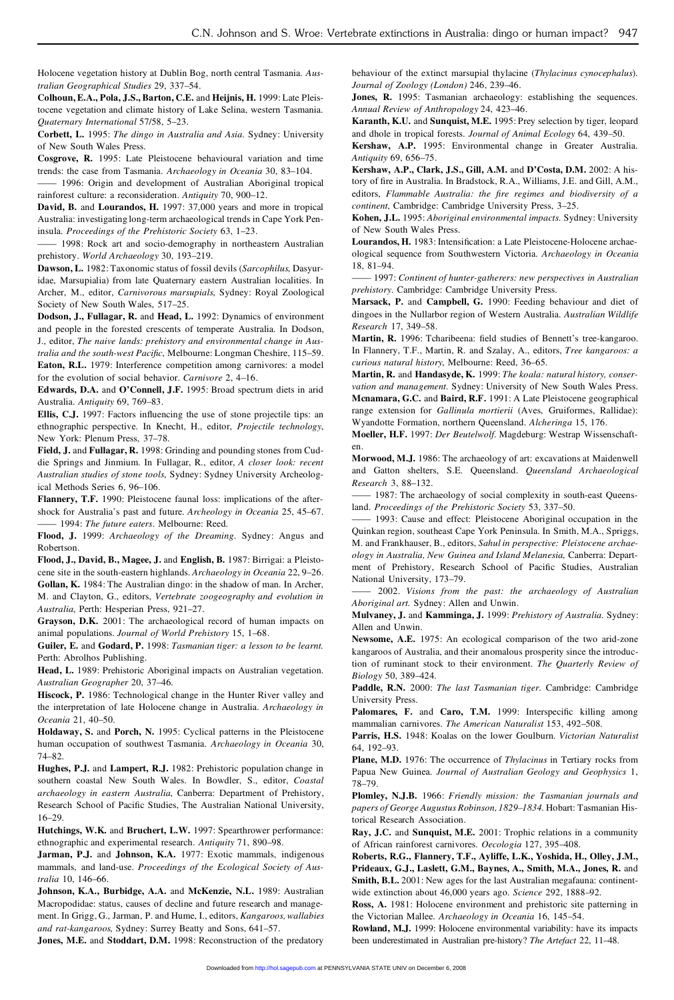Holocene vegetation history at Dublin Bog, north central Tasmania. *Australian Geographical Studies* 29, 337–54.

**Colhoun, E.A., Pola, J.S., Barton, C.E.** and **Heijnis, H.** 1999: Late Pleistocene vegetation and climate history of Lake Selina, western Tasmania. *Quaternary International* 57/58, 5–23.

**Corbett, L.** 1995: *The dingo in Australia and Asia*. Sydney: University of New South Wales Press.

**Cosgrove, R.** 1995: Late Pleistocene behavioural variation and time trends: the case from Tasmania. *Archaeology in Oceania* 30, 83–104.

1996: Origin and development of Australian Aboriginal tropical rainforest culture: a reconsideration. *Antiquity* 70, 900–12.

**David, B.** and **Lourandos, H.** 1997: 37,000 years and more in tropical Australia: investigating long-term archaeological trends in Cape York Peninsula. *Proceedings of the Prehistoric Society* 63, 1–23.

—— 1998: Rock art and socio-demography in northeastern Australian prehistory. *World Archaeology* 30, 193–219.

**Dawson, L.** 1982: Taxonomic status of fossil devils (*Sarcophilus*, Dasyuridae, Marsupialia) from late Quaternary eastern Australian localities. In Archer, M., editor, *Carnivorous marsupials*, Sydney: Royal Zoological Society of New South Wales, 517–25.

**Dodson, J., Fullagar, R.** and **Head, L.** 1992: Dynamics of environment and people in the forested crescents of temperate Australia. In Dodson, J., editor, *The naive lands: prehistory and environmental change in Australia and the south-west Paci c*, Melbourne: Longman Cheshire, 115–59. **Eaton, R.L.** 1979: Interference competition among carnivores: a model for the evolution of social behavior. *Carnivore* 2, 4–16.

**Edwards, D.A.** and **O'Connell, J.F.** 1995: Broad spectrum diets in arid Australia. *Antiquity* 69, 769–83.

Ellis, C.J. 1997: Factors influencing the use of stone projectile tips: an ethnographic perspective. In Knecht, H., editor, *Projectile technology*, New York: Plenum Press, 37–78.

**Field, J.** and **Fullagar, R.** 1998: Grinding and pounding stones from Cuddie Springs and Jinmium. In Fullagar, R., editor, *A closer look: recent Australian studies of stone tools*, Sydney: Sydney University Archeological Methods Series 6, 96–106.

**Flannery, T.F.** 1990: Pleistocene faunal loss: implications of the aftershock for Australia's past and future. *Archeology in Oceania* 25, 45–67. —— 1994: *The future eaters*. Melbourne: Reed.

**Flood, J.** 1999: *Archaeology of the Dreaming*. Sydney: Angus and Robertson.

**Flood, J., David, B., Magee, J.** and **English, B.** 1987: Birrigai: a Pleisto cene site in the south-eastern highlands. *Archaeology in Oceania* 22, 9–26. **Gollan, K.** 1984: The Australian dingo: in the shadow of man. In Archer, M. and Clayton, G., editors, *Vertebrate zoogeography and evolution in Australia*, Perth: Hesperian Press, 921–27.

**Grayson, D.K.** 2001: The archaeological record of human impacts on animal populations. *Journal of World Prehistory* 15, 1–68.

**Guiler, E.** and **Godard, P.** 1998: *Tasmanian tiger: a lesson to be learnt.* Perth: Abrolhos Publishing.

**Head, L.** 1989: Prehistoric Aboriginal impacts on Australian vegetation. *Australian Geographer* 20, 37–46.

**Hiscock, P.** 1986: Technological change in the Hunter River valley and the interpretation of late Holocene change in Australia. *Archaeology in Oceania* 21, 40–50.

**Holdaway, S.** and **Porch, N.** 1995: Cyclical patterns in the Pleistocene human occupation of southwest Tasmania. *Archaeology in Oceania* 30, 74–82.

**Hughes, P.J.** and **Lampert, R.J.** 1982: Prehistoric population change in southern coastal New South Wales. In Bowdler, S., editor, *Coastal archaeology in eastern Australia*, Canberra: Department of Prehistory, Research School of Pacific Studies, The Australian National University, 16–29.

**Hutchings, W.K.** and **Bruchert, L.W.** 1997: Spearthrower performance: ethnographic and experimental research. *Antiquity* 71, 890–98.

**Jarman, P.J.** and **Johnson, K.A.** 1977: Exotic mammals, indigenous mammals, and land-use. *Proceedings of the Ecological Society of Australia* 10, 146–66.

**Johnson, K.A., Burbidge, A.A.** and **McKenzie, N.L.** 1989: Australian Macropodidae: status, causes of decline and future research and management. In Grigg, G., Jarman, P. and Hume, I., editors, *Kangaroos,wallabies and rat-kangaroos*, Sydney: Surrey Beatty and Sons, 641–57.

**Jones, M.E.** and **Stoddart, D.M.** 1998: Reconstruction of the predatory

behaviour of the extinct marsupial thylacine (*Thylacinus cynocephalus*). *Journal of Zoology (London)* 246, 239–46.

**Jones, R.** 1995: Tasmanian archaeology: establishing the sequences. *Annual Review of Anthropology* 24, 423–46.

**Karanth, K.U.** and **Sunquist, M.E.** 1995: Prey selection by tiger, leopard and dhole in tropical forests. *Journal of Animal Ecology* 64, 439–50.

**Kershaw, A.P.** 1995: Environmental change in Greater Australia. *Antiquity* 69, 656–75.

**Kershaw, A.P., Clark, J.S., Gill, A.M.** and **D'Costa, D.M.** 2002: A history of fire in Australia. In Bradstock, R.A., Williams, J.E. and Gill, A.M., editors, *Flammable Australia: the re regimes and biodiversity of a continent*, Cambridge: Cambridge University Press, 3–25.

**Kohen, J.L.** 1995: *Aboriginal environmental impacts*. Sydney: University of New South Wales Press.

Lourandos, H. 1983: Intensification: a Late Pleistocene-Holocene archaeological sequence from Southwestern Victoria. *Archaeology in Oceania* 18, 81–94.

—— 1997: *Continent of hunter-gatherers: new perspectives in Australian prehistory*. Cambridge: Cambridge University Press.

**Marsack, P.** and **Campbell, G.** 1990: Feeding behaviour and diet of dingoes in the Nullarbor region of Western Australia. *Australian Wildlife Research* 17, 349–58.

**Martin, R.** 1996: Tcharibeena: field studies of Bennett's tree-kangaroo. In Flannery, T.F., Martin, R. and Szalay, A., editors, *Tree kangaroos: a curious natural history*, Melbourne: Reed, 36–65.

**Martin, R.** and **Handasyde, K.** 1999: *The koala: natural history, conser vation and management*. Sydney: University of New South Wales Press. **Mcnamara, G.C.** and **Baird, R.F.** 1991: A Late Pleistocene geographical range extension for *Gallinula mortierii* (Aves, Gruiformes, Rallidae): Wyandotte Formation, northern Queensland. *Alcheringa* 15, 176.

**Moeller, H.F.** 1997: *Der Beutelwolf*. Magdeburg: Westrap Wissenschaft en.

**Morwood, M.J.** 1986: The archaeology of art: excavations at Maidenwell and Gatton shelters, S.E. Queensland. *Queensland Archaeological Research* 3, 88–132.

—— 1987: The archaeology of social complexity in south-east Queensland. *Proceedings of the Prehistoric Society* 53, 337–50.

—— 1993: Cause and effect: Pleistocene Aboriginal occupation in the Quinkan region, southeast Cape York Peninsula. In Smith, M.A., Spriggs, M. and Frankhauser, B., editors, *Sahul in perspective: Pleistocene archaeology in Australia, New Guinea and Island Melanesia*, Canberra: Department of Prehistory, Research School of Pacific Studies, Australian National University, 173–79.

—— 2002. *Visions from the past: the archaeology of Australian Aboriginal art.* Sydney: Allen and Unwin.

**Mulvaney, J.** and **Kamminga, J.** 1999: *Prehistory of Australia*. Sydney: Allen and Unwin.

**Newsome, A.E.** 1975: An ecological comparison of the two arid-zone kangaroos of Australia, and their anomalous prosperity since the introduction of ruminant stock to their environment. *The Quarterly Review of Biology* 50, 389–424.

**Paddle, R.N.** 2000: *The last Tasmanian tiger*. Cambridge: Cambridge University Press.

Palomares, F. and Caro, T.M. 1999: Interspecific killing among mammalian carnivores. *The American Naturalist* 153, 492–508.

**Parris, H.S.** 1948: Koalas on the lower Goulburn. *Victorian Naturalist* 64, 192–93.

**Plane, M.D.** 1976: The occurrence of *Thylacinus* in Tertiary rocks from Papua New Guinea. *Journal of Australian Geology and Geophysics* 1, 78–79.

**Plomley, N.J.B.** 1966: *Friendly mission: the Tasmanian journals and papers of George Augustus Robinson,1829–1834.* Hobart: Tasmanian Historical Research Association.

**Ray, J.C.** and **Sunquist, M.E.** 2001: Trophic relations in a community of African rainforest carnivores. *Oecologia* 127, 395–408.

**Roberts, R.G., Flannery, T.F., Ayliffe, L.K., Yoshida, H., Olley, J.M., Prideaux, G.J., Laslett, G.M., Baynes, A., Smith, M.A., Jones, R.** and **Smith, B.L.** 2001: New ages for the last Australian megafauna: continentwide extinction about 46,000 years ago. *Science* 292, 1888–92.

**Ross, A.** 1981: Holocene environment and prehistoric site patterning in the Victorian Mallee. *Archaeology in Oceania* 16, 145–54.

**Rowland, M.J.** 1999: Holocene environmental variability: have its impacts been underestimated in Australian pre-history? *The Artefact* 22, 11–48.